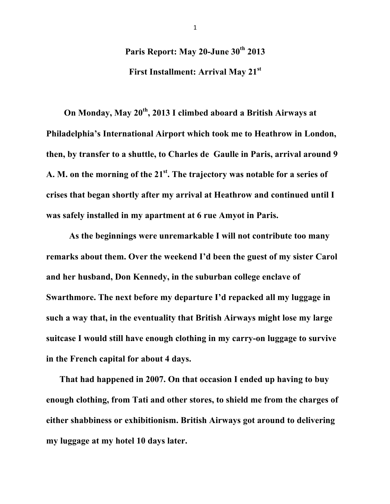## **Paris Report: May 20-June 30th 2013**

**First Installment: Arrival May 21st**

 **On Monday, May 20th, 2013 I climbed aboard a British Airways at Philadelphia's International Airport which took me to Heathrow in London, then, by transfer to a shuttle, to Charles de Gaulle in Paris, arrival around 9 A. M. on the morning of the 21st. The trajectory was notable for a series of crises that began shortly after my arrival at Heathrow and continued until I was safely installed in my apartment at 6 rue Amyot in Paris.** 

**As the beginnings were unremarkable I will not contribute too many remarks about them. Over the weekend I'd been the guest of my sister Carol and her husband, Don Kennedy, in the suburban college enclave of Swarthmore. The next before my departure I'd repacked all my luggage in such a way that, in the eventuality that British Airways might lose my large suitcase I would still have enough clothing in my carry-on luggage to survive in the French capital for about 4 days.**

 **That had happened in 2007. On that occasion I ended up having to buy enough clothing, from Tati and other stores, to shield me from the charges of either shabbiness or exhibitionism. British Airways got around to delivering my luggage at my hotel 10 days later.**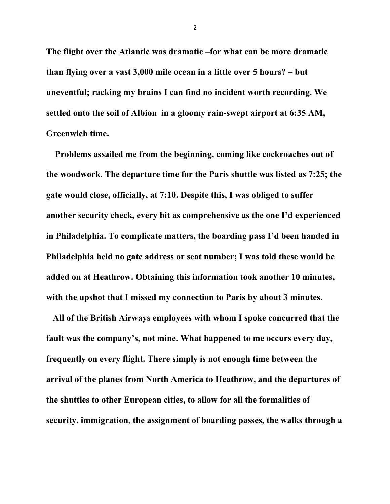**The flight over the Atlantic was dramatic –for what can be more dramatic than flying over a vast 3,000 mile ocean in a little over 5 hours? – but uneventful; racking my brains I can find no incident worth recording. We settled onto the soil of Albion in a gloomy rain-swept airport at 6:35 AM, Greenwich time.** 

 **Problems assailed me from the beginning, coming like cockroaches out of the woodwork. The departure time for the Paris shuttle was listed as 7:25; the gate would close, officially, at 7:10. Despite this, I was obliged to suffer another security check, every bit as comprehensive as the one I'd experienced in Philadelphia. To complicate matters, the boarding pass I'd been handed in Philadelphia held no gate address or seat number; I was told these would be added on at Heathrow. Obtaining this information took another 10 minutes, with the upshot that I missed my connection to Paris by about 3 minutes.** 

 **All of the British Airways employees with whom I spoke concurred that the fault was the company's, not mine. What happened to me occurs every day, frequently on every flight. There simply is not enough time between the arrival of the planes from North America to Heathrow, and the departures of the shuttles to other European cities, to allow for all the formalities of security, immigration, the assignment of boarding passes, the walks through a**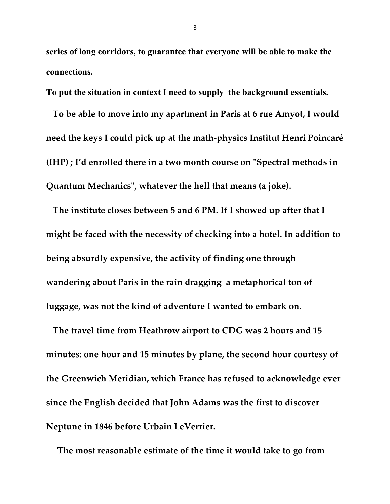**series of long corridors, to guarantee that everyone will be able to make the connections.**

**To put the situation in context I need to supply the background essentials.** 

 **To be able to move into my apartment in Paris at 6 rue Amyot, I would need the keys I could pick up at the math-physics Institut Henri Poincaré (IHP) ; I'd enrolled there in a two month course on "Spectral methods in Quantum Mechanics", whatever the hell that means (a joke).**

 **The institute closes between 5 and 6 PM. If I showed up after that I might be faced with the necessity of checking into a hotel. In addition to being absurdly expensive, the activity of finding one through wandering about Paris in the rain dragging a metaphorical ton of luggage, was not the kind of adventure I wanted to embark on.** 

 **The travel time from Heathrow airport to CDG was 2 hours and 15 minutes: one hour and 15 minutes by plane, the second hour courtesy of the Greenwich Meridian, which France has refused to acknowledge ever since the English decided that John Adams was the first to discover Neptune in 1846 before Urbain LeVerrier.**

 **The most reasonable estimate of the time it would take to go from**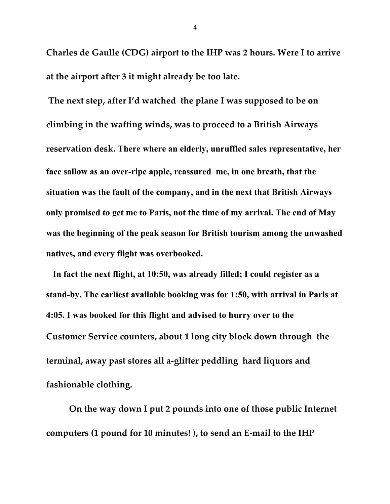**Charles de Gaulle (CDG) airport to the IHP was 2 hours. Were I to arrive at the airport after 3 it might already be too late.**

**The next step, after I'd watched the plane I was supposed to be on climbing in the wafting winds, was to proceed to a British Airways reservation desk. There where an elderly, unruffled sales representative, her face sallow as an over-ripe apple, reassured me, in one breath, that the situation was the fault of the company, and in the next that British Airways only promised to get me to Paris, not the time of my arrival. The end of May was the beginning of the peak season for British tourism among the unwashed natives, and every flight was overbooked.** 

 **In fact the next flight, at 10:50, was already filled; I could register as a stand-by. The earliest available booking was for 1:50, with arrival in Paris at 4:05. I was booked for this flight and advised to hurry over to the Customer Service counters, about 1 long city block down through the terminal, away past stores all a-glitter peddling hard liquors and fashionable clothing.** 

**On the way down I put 2 pounds into one of those public Internet computers (1 pound for 10 minutes! ), to send an E-mail to the IHP**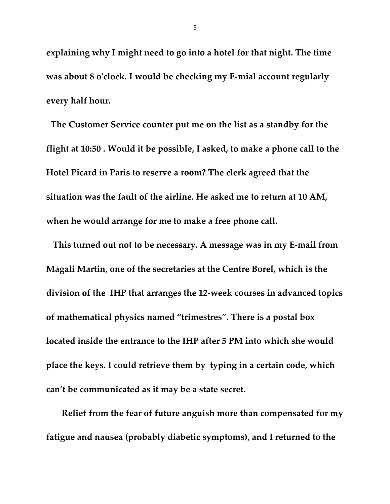**explaining why I might need to go into a hotel for that night. The time was about 8 o'clock. I would be checking my E-mial account regularly every half hour.**

 **The Customer Service counter put me on the list as a standby for the flight at 10:50 . Would it be possible, I asked, to make a phone call to the Hotel Picard in Paris to reserve a room? The clerk agreed that the situation was the fault of the airline. He asked me to return at 10 AM, when he would arrange for me to make a free phone call.**

 **This turned out not to be necessary. A message was in my E-mail from Magali Martin, one of the secretaries at the Centre Borel, which is the division of the IHP that arranges the 12-week courses in advanced topics of mathematical physics named "trimestres". There is a postal box located inside the entrance to the IHP after 5 PM into which she would place the keys. I could retrieve them by typing in a certain code, which can't be communicated as it may be a state secret.**

 **Relief from the fear of future anguish more than compensated for my fatigue and nausea (probably diabetic symptoms), and I returned to the**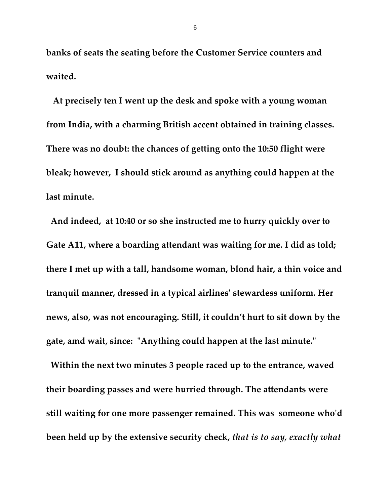**banks of seats the seating before the Customer Service counters and waited.**

 **At precisely ten I went up the desk and spoke with a young woman from India, with a charming British accent obtained in training classes. There was no doubt: the chances of getting onto the 10:50 flight were bleak; however, I should stick around as anything could happen at the last minute.**

 **And indeed, at 10:40 or so she instructed me to hurry quickly over to Gate A11, where a boarding attendant was waiting for me. I did as told; there I met up with a tall, handsome woman, blond hair, a thin voice and tranquil manner, dressed in a typical airlines' stewardess uniform. Her news, also, was not encouraging. Still, it couldn't hurt to sit down by the gate, amd wait, since: "Anything could happen at the last minute."**

 **Within the next two minutes 3 people raced up to the entrance, waved their boarding passes and were hurried through. The attendants were still waiting for one more passenger remained. This was someone who'd been held up by the extensive security check,** *that is to say, exactly what*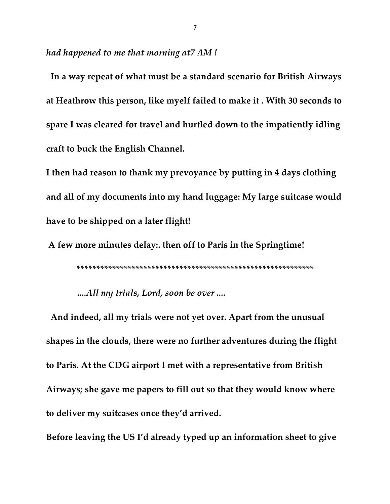*had happened to me that morning at7 AM !*

 **In a way repeat of what must be a standard scenario for British Airways at Heathrow this person, like myelf failed to make it . With 30 seconds to spare I was cleared for travel and hurtled down to the impatiently idling craft to buck the English Channel.**

**I then had reason to thank my prevoyance by putting in 4 days clothing and all of my documents into my hand luggage: My large suitcase would have to be shipped on a later flight!**

**A few more minutes delay:. then off to Paris in the Springtime!**

**\*\*\*\*\*\*\*\*\*\*\*\*\*\*\*\*\*\*\*\*\*\*\*\*\*\*\*\*\*\*\*\*\*\*\*\*\*\*\*\*\*\*\*\*\*\*\*\*\*\*\*\*\*\*\*\*\*\*\*\***

*....All my trials, Lord, soon be over ....*

 **And indeed, all my trials were not yet over. Apart from the unusual shapes in the clouds, there were no further adventures during the flight to Paris. At the CDG airport I met with a representative from British Airways; she gave me papers to fill out so that they would know where to deliver my suitcases once they'd arrived.** 

**Before leaving the US I'd already typed up an information sheet to give**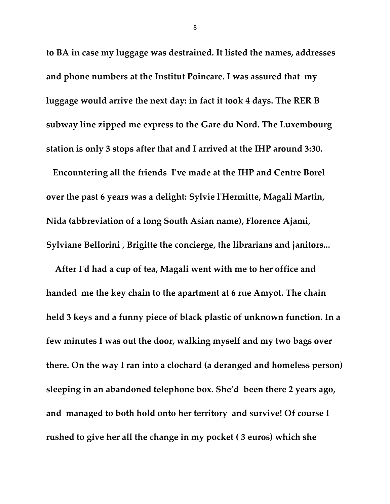**to BA in case my luggage was destrained. It listed the names, addresses and phone numbers at the Institut Poincare. I was assured that my luggage would arrive the next day: in fact it took 4 days. The RER B subway line zipped me express to the Gare du Nord. The Luxembourg station is only 3 stops after that and I arrived at the IHP around 3:30.**

 **Encountering all the friends I've made at the IHP and Centre Borel over the past 6 years was a delight: Sylvie l'Hermitte, Magali Martin, Nida (abbreviation of a long South Asian name), Florence Ajami, Sylviane Bellorini , Brigitte the concierge, the librarians and janitors...**

 **After I'd had a cup of tea, Magali went with me to her office and handed me the key chain to the apartment at 6 rue Amyot. The chain held 3 keys and a funny piece of black plastic of unknown function. In a few minutes I was out the door, walking myself and my two bags over there. On the way I ran into a clochard (a deranged and homeless person) sleeping in an abandoned telephone box. She'd been there 2 years ago, and managed to both hold onto her territory and survive! Of course I rushed to give her all the change in my pocket ( 3 euros) which she**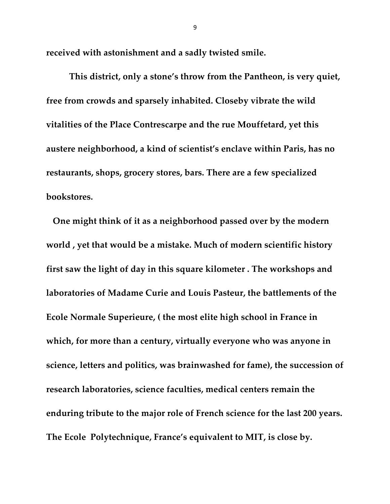**received with astonishment and a sadly twisted smile.**

**This district, only a stone's throw from the Pantheon, is very quiet, free from crowds and sparsely inhabited. Closeby vibrate the wild vitalities of the Place Contrescarpe and the rue Mouffetard, yet this austere neighborhood, a kind of scientist's enclave within Paris, has no restaurants, shops, grocery stores, bars. There are a few specialized bookstores.** 

 **One might think of it as a neighborhood passed over by the modern world , yet that would be a mistake. Much of modern scientific history first saw the light of day in this square kilometer . The workshops and laboratories of Madame Curie and Louis Pasteur, the battlements of the Ecole Normale Superieure, ( the most elite high school in France in which, for more than a century, virtually everyone who was anyone in science, letters and politics, was brainwashed for fame), the succession of research laboratories, science faculties, medical centers remain the enduring tribute to the major role of French science for the last 200 years. The Ecole Polytechnique, France's equivalent to MIT, is close by.**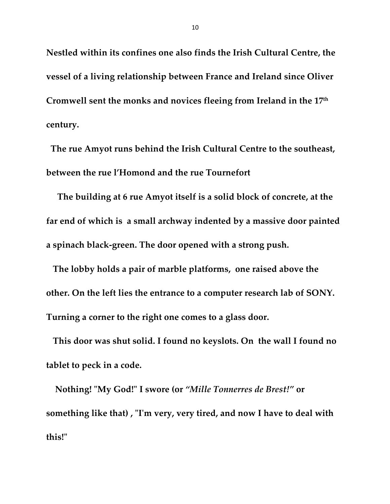**Nestled within its confines one also finds the Irish Cultural Centre, the vessel of a living relationship between France and Ireland since Oliver Cromwell sent the monks and novices fleeing from Ireland in the 17th century.** 

 **The rue Amyot runs behind the Irish Cultural Centre to the southeast, between the rue l'Homond and the rue Tournefort**

 **The building at 6 rue Amyot itself is a solid block of concrete, at the far end of which is a small archway indented by a massive door painted a spinach black-green. The door opened with a strong push.**

 **The lobby holds a pair of marble platforms, one raised above the other. On the left lies the entrance to a computer research lab of SONY. Turning a corner to the right one comes to a glass door.** 

 **This door was shut solid. I found no keyslots. On the wall I found no tablet to peck in a code.** 

 **Nothing! "My God!" I swore (or** *"Mille Tonnerres de Brest!"* **or something like that) , "I'm very, very tired, and now I have to deal with this!"**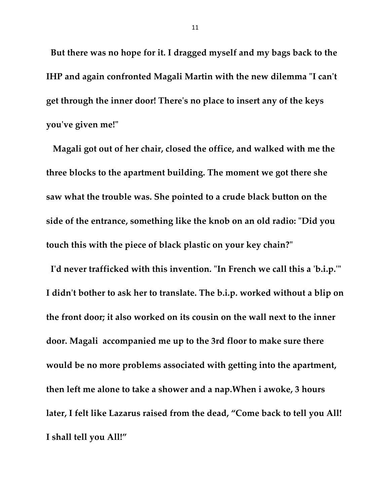**But there was no hope for it. I dragged myself and my bags back to the IHP and again confronted Magali Martin with the new dilemma "I can't get through the inner door! There's no place to insert any of the keys you've given me!"**

 **Magali got out of her chair, closed the office, and walked with me the three blocks to the apartment building. The moment we got there she saw what the trouble was. She pointed to a crude black button on the side of the entrance, something like the knob on an old radio: "Did you touch this with the piece of black plastic on your key chain?"**

 **I'd never trafficked with this invention. "In French we call this a 'b.i.p.'" I didn't bother to ask her to translate. The b.i.p. worked without a blip on the front door; it also worked on its cousin on the wall next to the inner door. Magali accompanied me up to the 3rd floor to make sure there would be no more problems associated with getting into the apartment, then left me alone to take a shower and a nap.When i awoke, 3 hours later, I felt like Lazarus raised from the dead, "Come back to tell you All! I shall tell you All!"**